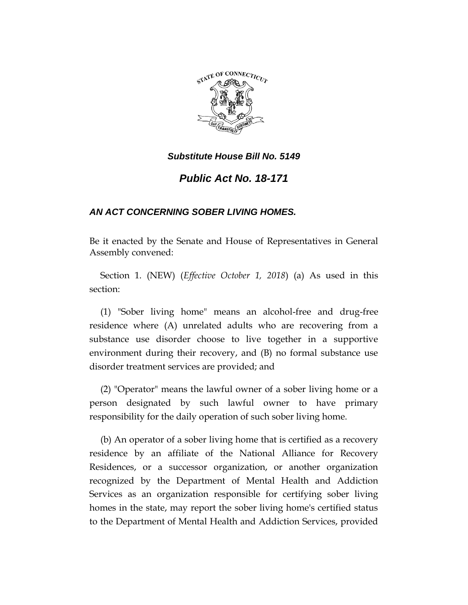

### *Substitute House Bill No. 5149*

# *Public Act No. 18-171*

### *AN ACT CONCERNING SOBER LIVING HOMES.*

Be it enacted by the Senate and House of Representatives in General Assembly convened:

Section 1. (NEW) (*Effective October 1, 2018*) (a) As used in this section:

(1) "Sober living home" means an alcohol-free and drug-free residence where (A) unrelated adults who are recovering from a substance use disorder choose to live together in a supportive environment during their recovery, and (B) no formal substance use disorder treatment services are provided; and

(2) "Operator" means the lawful owner of a sober living home or a person designated by such lawful owner to have primary responsibility for the daily operation of such sober living home.

(b) An operator of a sober living home that is certified as a recovery residence by an affiliate of the National Alliance for Recovery Residences, or a successor organization, or another organization recognized by the Department of Mental Health and Addiction Services as an organization responsible for certifying sober living homes in the state, may report the sober living home's certified status to the Department of Mental Health and Addiction Services, provided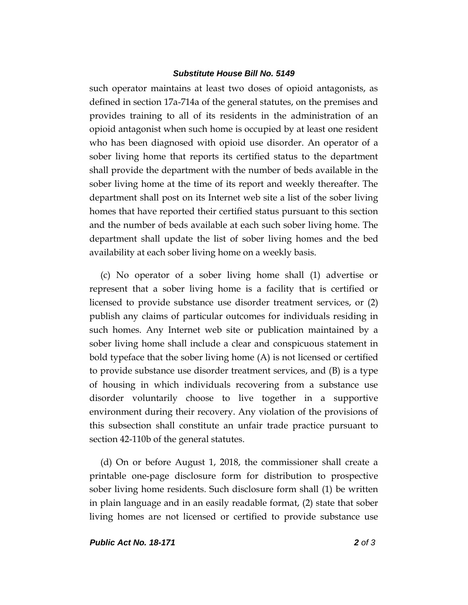#### *Substitute House Bill No. 5149*

such operator maintains at least two doses of opioid antagonists, as defined in section 17a-714a of the general statutes, on the premises and provides training to all of its residents in the administration of an opioid antagonist when such home is occupied by at least one resident who has been diagnosed with opioid use disorder. An operator of a sober living home that reports its certified status to the department shall provide the department with the number of beds available in the sober living home at the time of its report and weekly thereafter. The department shall post on its Internet web site a list of the sober living homes that have reported their certified status pursuant to this section and the number of beds available at each such sober living home. The department shall update the list of sober living homes and the bed availability at each sober living home on a weekly basis.

(c) No operator of a sober living home shall (1) advertise or represent that a sober living home is a facility that is certified or licensed to provide substance use disorder treatment services, or (2) publish any claims of particular outcomes for individuals residing in such homes. Any Internet web site or publication maintained by a sober living home shall include a clear and conspicuous statement in bold typeface that the sober living home (A) is not licensed or certified to provide substance use disorder treatment services, and (B) is a type of housing in which individuals recovering from a substance use disorder voluntarily choose to live together in a supportive environment during their recovery. Any violation of the provisions of this subsection shall constitute an unfair trade practice pursuant to section 42-110b of the general statutes.

(d) On or before August 1, 2018, the commissioner shall create a printable one-page disclosure form for distribution to prospective sober living home residents. Such disclosure form shall (1) be written in plain language and in an easily readable format, (2) state that sober living homes are not licensed or certified to provide substance use